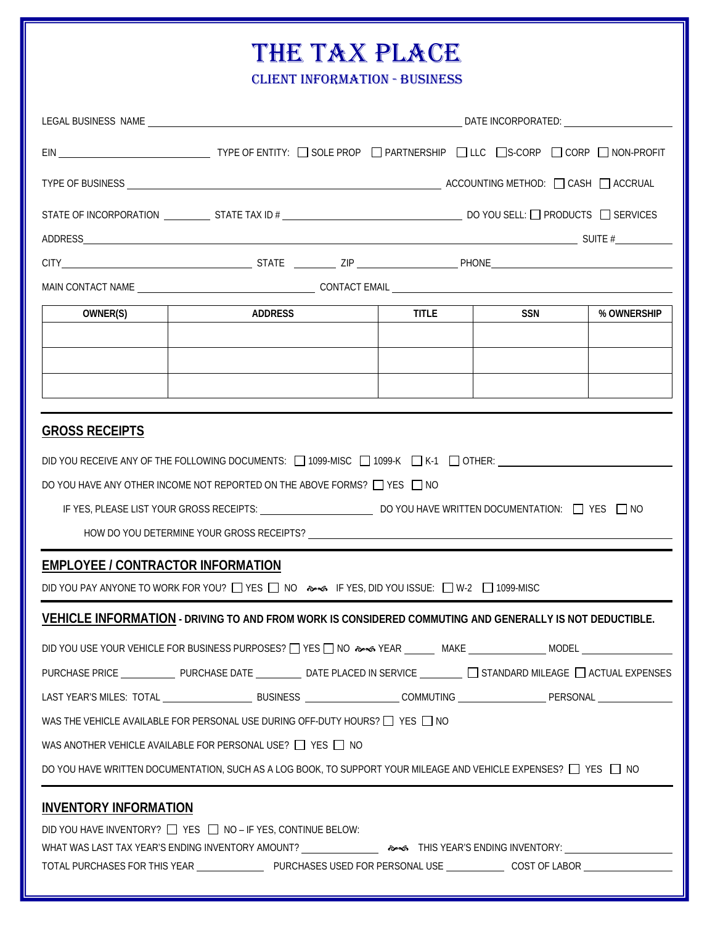## THE TAX PLACE

CLIENT INFORMATION - BUSINESS

|                                          | EIN _________________________________TYPE OF ENTITY: [ GOLE PROP [ ] PARTNERSHIP [ ] LLC [ ]S-CORP [ ] CORP [ ] NON-PROFIT                |              |     |             |
|------------------------------------------|-------------------------------------------------------------------------------------------------------------------------------------------|--------------|-----|-------------|
|                                          |                                                                                                                                           |              |     |             |
|                                          |                                                                                                                                           |              |     |             |
|                                          | STATE OF INCORPORATION $\_\_\_\_\_\$ STATE TAX ID # $\_\_\_\_\_\_\_\_\_\_\_\_\_\_\_$ DO YOU SELL: $\_\_\_\_\$ PRODUCTS $\_\_\_\$ SERVICES |              |     |             |
|                                          | $ADDRESS$ SUITE $#$                                                                                                                       |              |     |             |
|                                          |                                                                                                                                           |              |     |             |
|                                          |                                                                                                                                           |              |     |             |
| OWNER(S)                                 | ADDRESS                                                                                                                                   | <b>TITLE</b> | SSN | % OWNERSHIP |
|                                          |                                                                                                                                           |              |     |             |
|                                          |                                                                                                                                           |              |     |             |
|                                          |                                                                                                                                           |              |     |             |
| <b>GROSS RECEIPTS</b>                    |                                                                                                                                           |              |     |             |
|                                          | DID YOU RECEIVE ANY OF THE FOLLOWING DOCUMENTS: □ 1099-MISC □ 1099-K □ K-1 □ OTHER: _______________                                       |              |     |             |
|                                          | DO YOU HAVE ANY OTHER INCOME NOT REPORTED ON THE ABOVE FORMS? □ YES □ NO                                                                  |              |     |             |
|                                          |                                                                                                                                           |              |     |             |
|                                          |                                                                                                                                           |              |     |             |
| <b>EMPLOYEE / CONTRACTOR INFORMATION</b> |                                                                                                                                           |              |     |             |
|                                          | DID YOU PAY ANYONE TO WORK FOR YOU? IT YES IN NO ANG IF YES, DID YOU ISSUE: IT W-2 IT 1099-MISC                                           |              |     |             |
|                                          | VEHICLE INFORMATION - DRIVING TO AND FROM WORK IS CONSIDERED COMMUTING AND GENERALLY IS NOT DEDUCTIBLE.                                   |              |     |             |
|                                          |                                                                                                                                           |              |     |             |
|                                          | PURCHASE PRICE _______________ PURCHASE DATE ____________ DATE PLACED IN SERVICE _________ ___ STANDARD MILEAGE ___ ACTUAL EXPENSES       |              |     |             |
|                                          | LAST YEAR'S MILES: TOTAL _________________________BUSINESS ___________________COMMUTING ______________________PERSONAL ________________   |              |     |             |
|                                          | WAS THE VEHICLE AVAILABLE FOR PERSONAL USE DURING OFF-DUTY HOURS? □ YES □ NO                                                              |              |     |             |
|                                          | WAS ANOTHER VEHICLE AVAILABLE FOR PERSONAL USE? □ YES □ NO                                                                                |              |     |             |
|                                          | DO YOU HAVE WRITTEN DOCUMENTATION, SUCH AS A LOG BOOK, TO SUPPORT YOUR MILEAGE AND VEHICLE EXPENSES? □ YES □ NO                           |              |     |             |
| <b>INVENTORY INFORMATION</b>             |                                                                                                                                           |              |     |             |
|                                          | DID YOU HAVE INVENTORY? □ YES □ NO - IF YES, CONTINUE BELOW:                                                                              |              |     |             |
|                                          |                                                                                                                                           |              |     |             |
|                                          | TOTAL PURCHASES FOR THIS YEAR _____________________PURCHASES USED FOR PERSONAL USE ______________COST OF LABOR _______________________    |              |     |             |